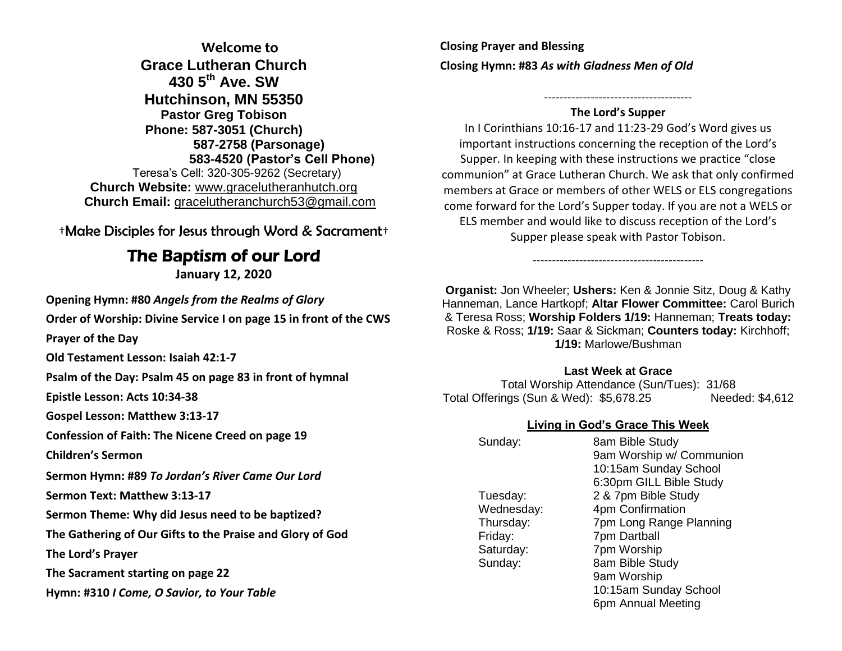**Welcome to Grace Lutheran Church 430 5th Ave. SW Hutchinson, MN 55350 Pastor Greg Tobison Phone: 587-3051 (Church) 587-2758 (Parsonage) 583-4520 (Pastor's Cell Phone)** Teresa's Cell: 320-305-9262 (Secretary) **Church Website:** [www.gracelutheranhutch.org](http://www.gracelutheranhutch.org/) **Church Email:** [gracelutheranchurch53@gmail.com](mailto:gracelutheranchurch53@gmail.com)

†Make Disciples for Jesus through Word & Sacrament†

# The Baptism of our Lord

**January 12, 2020**

**Opening Hymn: #80** *Angels from the Realms of Glory*

**Order of Worship: Divine Service I on page 15 in front of the CWS** 

**Prayer of the Day**

**Old Testament Lesson: Isaiah 42:1-7**

**Psalm of the Day: Psalm 45 on page 83 in front of hymnal** 

**Epistle Lesson: Acts 10:34-38**

**Gospel Lesson: Matthew 3:13-17**

**Confession of Faith: The Nicene Creed on page 19** 

**Children's Sermon**

**Sermon Hymn: #89** *To Jordan's River Came Our Lord*

**Sermon Text: Matthew 3:13-17**

**Sermon Theme: Why did Jesus need to be baptized?**

**The Gathering of Our Gifts to the Praise and Glory of God**

**The Lord's Prayer**

**The Sacrament starting on page 22** 

**Hymn: #310** *I Come, O Savior, to Your Table*

**Closing Prayer and Blessing Closing Hymn: #83** *As with Gladness Men of Old*

#### -------------------------------------- **The Lord's Supper**

In I Corinthians 10:16-17 and 11:23-29 God's Word gives us important instructions concerning the reception of the Lord's Supper. In keeping with these instructions we practice "close communion" at Grace Lutheran Church. We ask that only confirmed members at Grace or members of other WELS or ELS congregations come forward for the Lord's Supper today. If you are not a WELS or ELS member and would like to discuss reception of the Lord's Supper please speak with Pastor Tobison.

**Organist:** Jon Wheeler; **Ushers:** Ken & Jonnie Sitz, Doug & Kathy Hanneman, Lance Hartkopf; **Altar Flower Committee:** Carol Burich & Teresa Ross; **Worship Folders 1/19:** Hanneman; **Treats today:** Roske & Ross; **1/19:** Saar & Sickman; **Counters today:** Kirchhoff; **1/19:** Marlowe/Bushman

--------------------------------------------

### **Last Week at Grace**

Total Worship Attendance (Sun/Tues): 31/68 Total Offerings (Sun & Wed): \$5,678.25 Needed: \$4,612

### **Living in God's Grace This Week**

| Sunday:    | 8am Bible Study          |
|------------|--------------------------|
|            | 9am Worship w/ Communion |
|            | 10:15am Sunday School    |
|            | 6:30pm GILL Bible Study  |
| Tuesday:   | 2 & 7pm Bible Study      |
| Wednesday: | 4pm Confirmation         |
| Thursday:  | 7pm Long Range Planning  |
| Friday:    | 7pm Dartball             |
| Saturday:  | 7pm Worship              |
| Sunday:    | 8am Bible Study          |
|            | 9am Worship              |
|            | 10:15am Sunday School    |
|            | 6pm Annual Meeting       |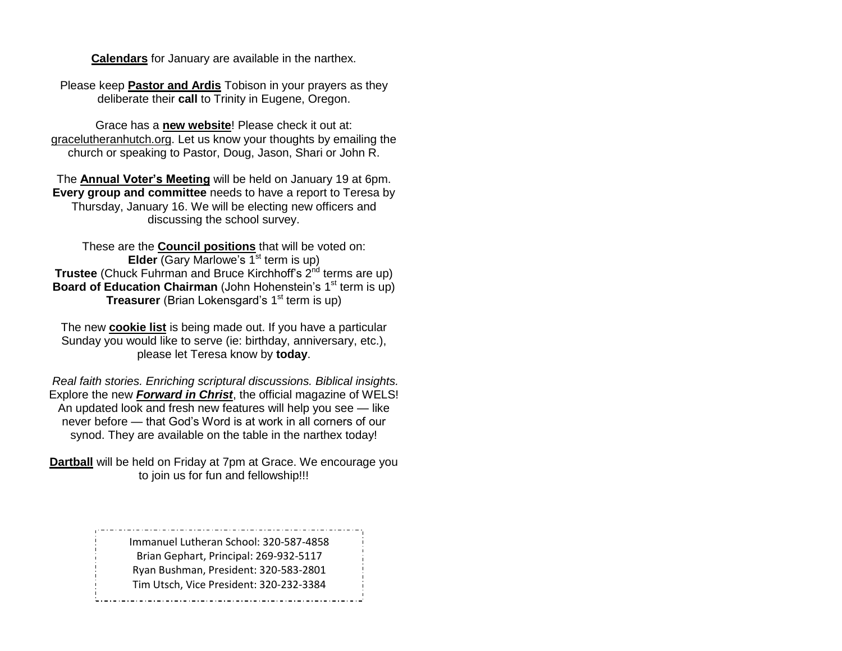**Calendars** for January are available in the narthex.

Please keep **Pastor and Ardis** Tobison in your prayers as they deliberate their **call** to Trinity in Eugene, Oregon.

Grace has a **new website**! Please check it out at: gracelutheranhutch.org. Let us know your thoughts by emailing the church or speaking to Pastor, Doug, Jason, Shari or John R.

The **Annual Voter's Meeting** will be held on January 19 at 6pm. **Every group and committee** needs to have a report to Teresa by Thursday, January 16. We will be electing new officers and discussing the school survey.

These are the **Council positions** that will be voted on: **Elder** (Gary Marlowe's 1<sup>st</sup> term is up) **Trustee** (Chuck Fuhrman and Bruce Kirchhoff's 2<sup>nd</sup> terms are up) **Board of Education Chairman** (John Hohenstein's 1<sup>st</sup> term is up) **Treasurer** (Brian Lokensgard's 1<sup>st</sup> term is up)

The new **cookie list** is being made out. If you have a particular Sunday you would like to serve (ie: birthday, anniversary, etc.), please let Teresa know by **today**.

*Real faith stories. Enriching scriptural discussions. Biblical insights.* Explore the new *Forward in Christ*, the official magazine of WELS! An updated look and fresh new features will help you see — like never before — that God's Word is at work in all corners of our synod. They are available on the table in the narthex today!

**Dartball** will be held on Friday at 7pm at Grace. We encourage you to join us for fun and fellowship!!!

> Immanuel Lutheran School: 320-587-4858 Brian Gephart, Principal: 269-932-5117 Ryan Bushman, President: 320-583-2801 Tim Utsch, Vice President: 320-232-3384